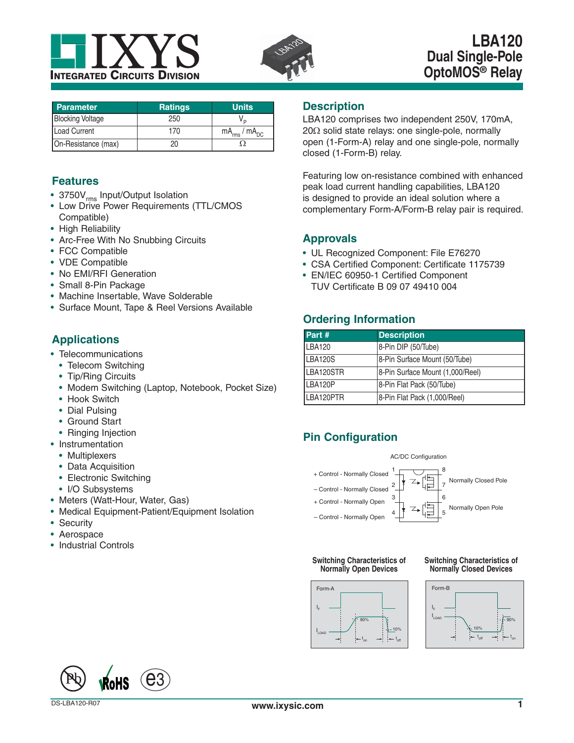



# **LBA120 Dual Single-Pole OptoMOS® Relay**

| <b>Parameter</b>        | <b>Ratings</b> | <b>Units</b>           |
|-------------------------|----------------|------------------------|
| <b>Blocking Voltage</b> | 250            |                        |
| <b>Load Current</b>     | 170            | $mA_{rms}$ / $mA_{DC}$ |
| On-Resistance (max)     |                |                        |

### **Features**

- 3750V<sub>rms</sub> Input/Output Isolation
- Low Drive Power Requirements (TTL/CMOS Compatible)
- High Reliability
- Arc-Free With No Snubbing Circuits
- FCC Compatible
- VDE Compatible
- No EMI/RFI Generation
- Small 8-Pin Package
- Machine Insertable, Wave Solderable
- Surface Mount, Tape & Reel Versions Available

## **Applications**

- Telecommunications
- Telecom Switching
- Tip/Ring Circuits
- Modem Switching (Laptop, Notebook, Pocket Size)
- Hook Switch
- Dial Pulsing
- Ground Start
- Ringing Injection
- Instrumentation
	- Multiplexers
	- Data Acquisition
	- Electronic Switching
	- I/O Subsystems
- Meters (Watt-Hour, Water, Gas)
- Medical Equipment-Patient/Equipment Isolation
- Security
- Aerospace
- Industrial Controls

#### **Description**

LBA120 comprises two independent 250V, 170mA,  $20\Omega$  solid state relays: one single-pole, normally open (1-Form-A) relay and one single-pole, normally closed (1-Form-B) relay.

Featuring low on-resistance combined with enhanced peak load current handling capabilities, LBA120 is designed to provide an ideal solution where a complementary Form-A/Form-B relay pair is required.

### **Approvals**

- UL Recognized Component: File E76270
- CSA Certified Component: Certificate 1175739
- EN/IEC 60950-1 Certified Component TUV Certificate B 09 07 49410 004

## **Ordering Information**

| Part #         | <b>Description</b>               |
|----------------|----------------------------------|
| LBA120         | 8-Pin DIP (50/Tube)              |
| <b>LBA120S</b> | 8-Pin Surface Mount (50/Tube)    |
| LBA120STR      | 8-Pin Surface Mount (1,000/Reel) |
| LBA120P        | 8-Pin Flat Pack (50/Tube)        |
| LBA120PTR      | 8-Pin Flat Pack (1,000/Reel)     |

# **Pin Configuration**



#### **Switching Characteristics of Normally Open Devices**



**Switching Characteristics of Normally Closed Devices**





 $Pb$  RoHS  $\odot$ 3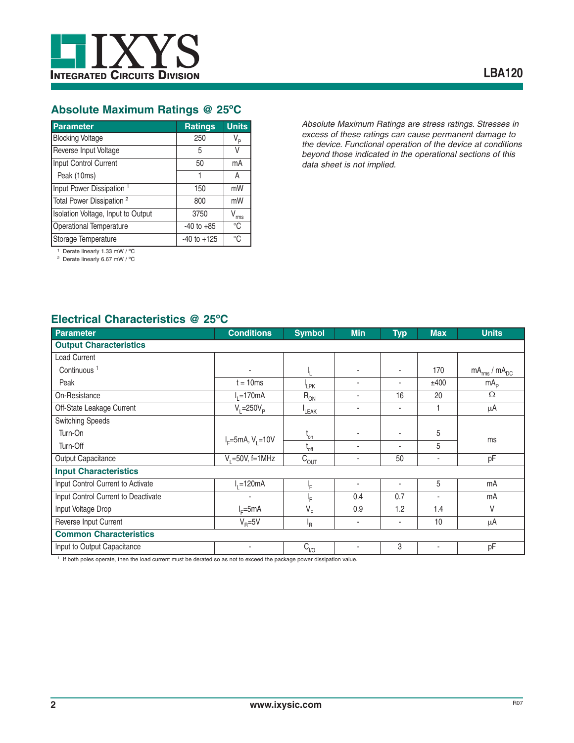

### **Absolute Maximum Ratings @ 25ºC**

| <b>Parameter</b>                                                                                                                                                                                                                                                                                                    | <b>Ratings</b>  | <b>Units</b>     |
|---------------------------------------------------------------------------------------------------------------------------------------------------------------------------------------------------------------------------------------------------------------------------------------------------------------------|-----------------|------------------|
| <b>Blocking Voltage</b>                                                                                                                                                                                                                                                                                             | 250             | V <sub>P</sub>   |
| Reverse Input Voltage                                                                                                                                                                                                                                                                                               | 5               | V                |
| Input Control Current                                                                                                                                                                                                                                                                                               | 50              | mA               |
| Peak (10ms)                                                                                                                                                                                                                                                                                                         | 1               | A                |
| Input Power Dissipation <sup>1</sup>                                                                                                                                                                                                                                                                                | 150             | mW               |
| Total Power Dissipation <sup>2</sup>                                                                                                                                                                                                                                                                                | 800             | mW               |
| Isolation Voltage, Input to Output                                                                                                                                                                                                                                                                                  | 3750            | $V_{\text{rms}}$ |
| Operational Temperature                                                                                                                                                                                                                                                                                             | $-40$ to $+85$  | °C               |
| Storage Temperature                                                                                                                                                                                                                                                                                                 | $-40$ to $+125$ | °C               |
| $\frac{1}{1}$ $\frac{1}{1}$ $\frac{1}{1}$ $\frac{1}{1}$ $\frac{1}{1}$ $\frac{1}{1}$ $\frac{1}{1}$ $\frac{1}{1}$ $\frac{1}{1}$ $\frac{1}{1}$ $\frac{1}{1}$ $\frac{1}{1}$ $\frac{1}{1}$ $\frac{1}{1}$ $\frac{1}{1}$ $\frac{1}{1}$ $\frac{1}{1}$ $\frac{1}{1}$ $\frac{1}{1}$ $\frac{1}{1}$ $\frac{1}{1}$ $\frac{1}{1}$ |                 |                  |

*Absolute Maximum Ratings are stress ratings. Stresses in excess of these ratings can cause permanent damage to the device. Functional operation of the device at conditions beyond those indicated in the operational sections of this data sheet is not implied.*

1 Derate linearly 1.33 mW / ºC

<sup>2</sup> Derate linearly 6.67 mW / °C

### **Electrical Characteristics @ 25ºC**

| Parameter                           | <b>Conditions</b>      | <b>Symbol</b>        | <b>Min</b> | <b>Typ</b> | <b>Max</b>               | <b>Units</b>           |
|-------------------------------------|------------------------|----------------------|------------|------------|--------------------------|------------------------|
| <b>Output Characteristics</b>       |                        |                      |            |            |                          |                        |
| <b>Load Current</b>                 |                        |                      |            |            |                          |                        |
| Continuous <sup>1</sup>             |                        |                      | ٠          | $\sim$     | 170                      | $mA_{rms}$ / $mA_{DC}$ |
| Peak                                | $t = 10ms$             | <sup>I</sup> LPK     | ٠          | $\sim$     | ±400                     | mA <sub>p</sub>        |
| On-Resistance                       | $I1=170mA$             | $R_{ON}$             | ٠          | 16         | 20                       | Ω                      |
| Off-State Leakage Current           | $V_i = 250V_p$         | LEAK                 | ٠          | $\sim$     |                          | μA                     |
| <b>Switching Speeds</b>             |                        |                      |            |            |                          |                        |
| Turn-On                             |                        | $t_{on}$             | ٠          |            | 5                        |                        |
| Turn-Off                            | $I_F = 5mA, V_1 = 10V$ | $t_{\text{off}}$     | ٠          |            | 5                        | ms                     |
| Output Capacitance                  | $V_1 = 50V$ , f=1MHz   | $C_{\overline{OUT}}$ | ٠          | 50         |                          | pF                     |
| <b>Input Characteristics</b>        |                        |                      |            |            |                          |                        |
| Input Control Current to Activate   | $I1=120mA$             | ١F                   | ٠          |            | 5                        | mA                     |
| Input Control Current to Deactivate |                        | ١F                   | 0.4        | 0.7        | $\overline{\phantom{a}}$ | mA                     |
| Input Voltage Drop                  | $I_c = 5mA$            | $V_F$                | 0.9        | 1.2        | 1.4                      | V                      |
| Reverse Input Current               | $V_{\rm B} = 5V$       | 'R                   | ٠          | ٠          | 10                       | $\mu$ A                |
| <b>Common Characteristics</b>       |                        |                      |            |            |                          |                        |
| Input to Output Capacitance         | $\blacksquare$         | $C_{\underline{V}O}$ | ٠          | 3          | ٠                        | pF                     |

1 If both poles operate, then the load current must be derated so as not to exceed the package power dissipation value.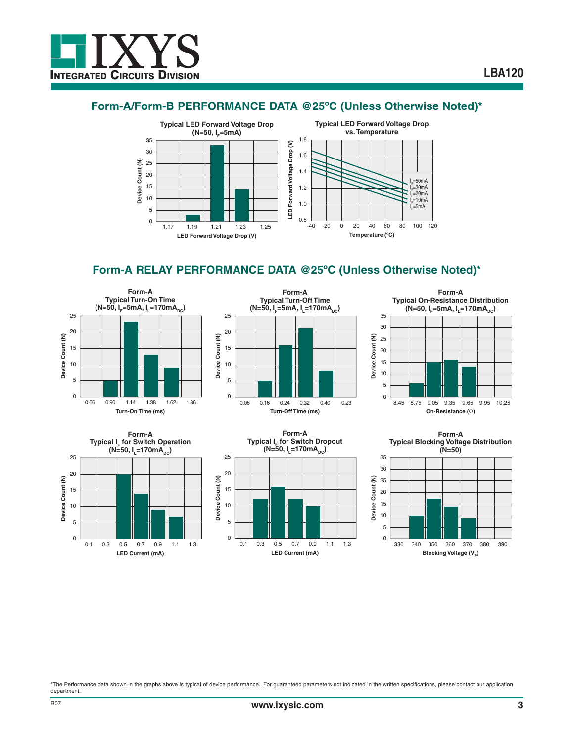### **Form-A/Form-B PERFORMANCE DATA @25ºC (Unless Otherwise Noted)\***



## **Form-A RELAY PERFORMANCE DATA @25ºC (Unless Otherwise Noted)\***











**Form-A Typical Blocking Voltage Distribution**



\*The Performance data shown in the graphs above is typical of device performance. For guaranteed parameters not indicated in the written specifications, please contact our application department.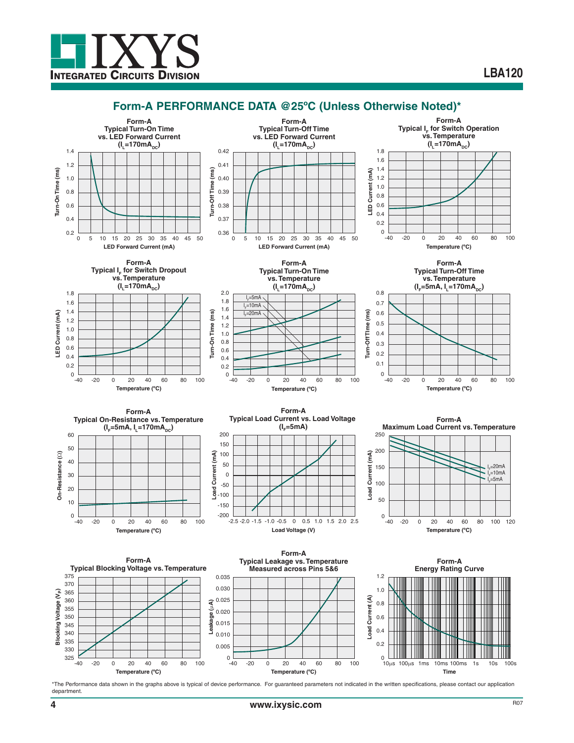

#### **Form-A PERFORMANCE DATA @25ºC (Unless Otherwise Noted)\***



\*The Performance data shown in the graphs above is typical of device performance. For guaranteed parameters not indicated in the written specifications, please contact our application department.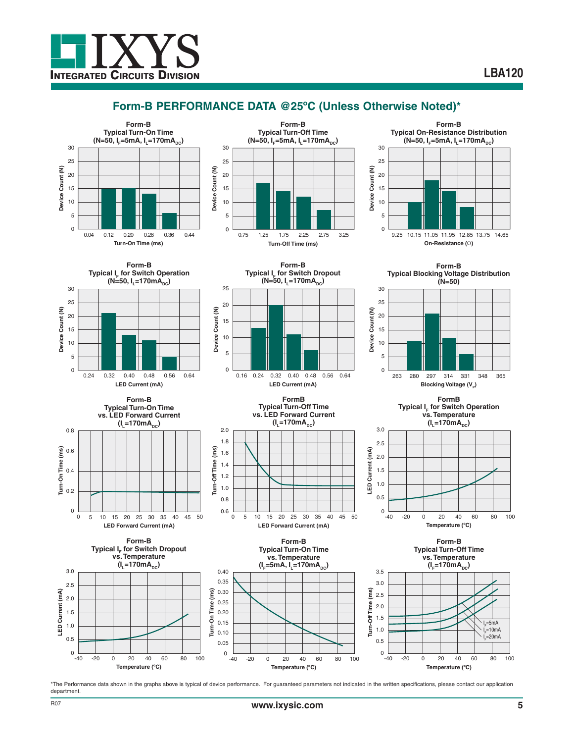# **Form-B PERFORMANCE DATA @25ºC (Unless Otherwise Noted)\***







**Form-B Typical I<sub>F</sub> for Switch Operation**  $(N=50, I = 170mA<sub>nc</sub>)$ 30 25 Device Count (N) **Device Count (N)** 20 15 10 5 0 0.24 0.32 0.40 0.48 0.56 0.64 0.56 **LED Current (mA)**





**Turn-Off Time (ms)**

urn-Off Time

 $\overline{m}$ 

0.40 0.35 0.30 0.25 0.20 0.15 0.10 0.05

ēρ Ė

2.0 1.8 1.6 1.4 1.2 1.0 0.8 0.6



**Temperature (ºC)**

0 -20 0 20 40 60 80 100





**FormB Typical Turn-Off Time vs. LED Forward Current**  $(I_1 = 170mA_{DC})$ 

**LED Forward Current (mA)**

**Form-B Typical Turn-On Time vs. Temperature**  $(I_F=5mA, I_L=170mA_{DC})$ 

50

3.5

0 5 10 15 20 25 30 35 40 45

**Form-B Typical Blocking Voltage Distribution**



**FormB Typical I<sub>F</sub> for Switch Operation vs. Temperature**  $(I_1 = 170mA_{DC})$ 



**Form-B Typical Turn-Off Time vs. Temperature**  $(I_{F} = 170mA_{DC})$ 



\*The Performance data shown in the graphs above is typical of device performance. For guaranteed parameters not indicated in the written specifications, please contact our application department.

-40

**LED Current (mA)**

LED Current (mA)

3.0 2.5 2.0 1.5 1.0 0.5

-40

**Temperature (ºC)**

0 -20 0 20 40 60 80 100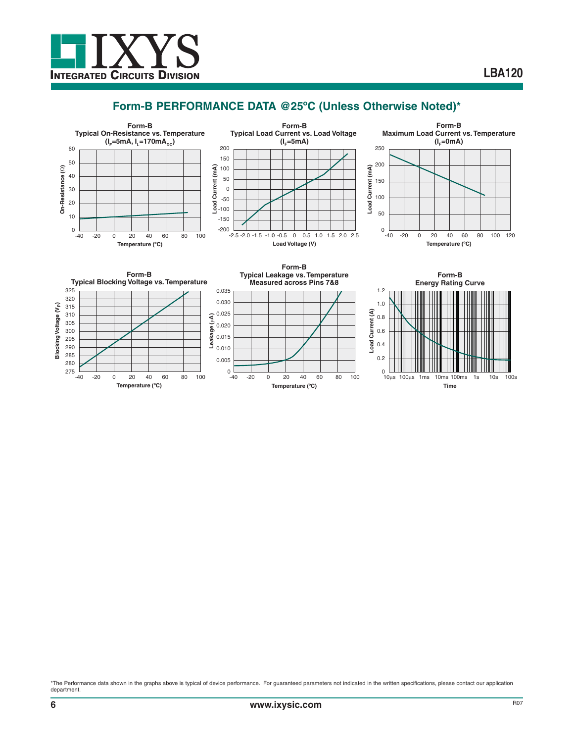

### **Form-B PERFORMANCE DATA @25ºC (Unless Otherwise Noted)\***



\*The Performance data shown in the graphs above is typical of device performance. For guaranteed parameters not indicated in the written specifications, please contact our application department.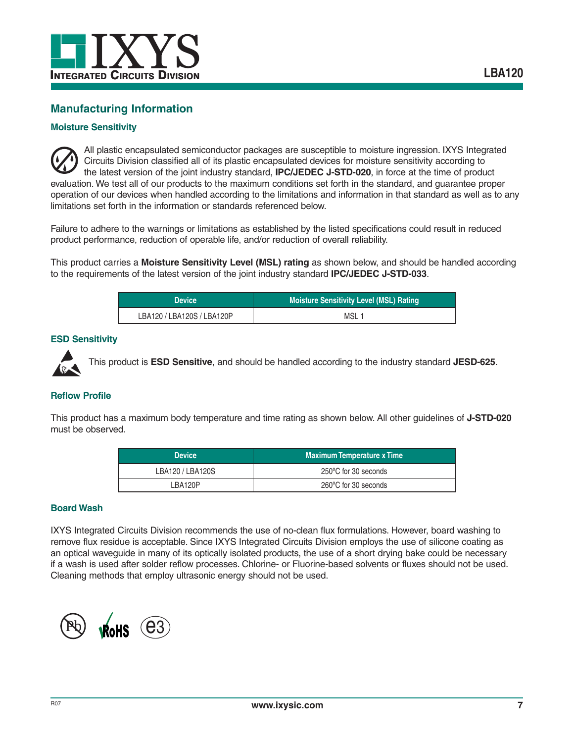

### **Manufacturing Information**

#### **Moisture Sensitivity**

All plastic encapsulated semiconductor packages are susceptible to moisture ingression. IXYS Integrated Circuits Division classified all of its plastic encapsulated devices for moisture sensitivity according to the latest version of the joint industry standard, **IPC/JEDEC J-STD-020**, in force at the time of product evaluation. We test all of our products to the maximum conditions set forth in the standard, and guarantee proper operation of our devices when handled according to the limitations and information in that standard as well as to any limitations set forth in the information or standards referenced below.

Failure to adhere to the warnings or limitations as established by the listed specifications could result in reduced product performance, reduction of operable life, and/or reduction of overall reliability.

This product carries a **Moisture Sensitivity Level (MSL) rating** as shown below, and should be handled according to the requirements of the latest version of the joint industry standard **IPC/JEDEC J-STD-033**.

| <b>Device</b> '            | <b>Moisture Sensitivity Level (MSL) Rating</b> |  |
|----------------------------|------------------------------------------------|--|
| LBA120 / LBA120S / LBA120P | MSL 1                                          |  |

#### **ESD Sensitivity**



This product is **ESD Sensitive**, and should be handled according to the industry standard **JESD-625**.

#### **Reflow Profile**

This product has a maximum body temperature and time rating as shown below. All other guidelines of **J-STD-020** must be observed.

| <b>Device</b>    | <b>Maximum Temperature x Time</b> |
|------------------|-----------------------------------|
| LBA120 / LBA120S | 250°C for 30 seconds              |
| LBA120P          | 260°C for 30 seconds              |

#### **Board Wash**

IXYS Integrated Circuits Division recommends the use of no-clean flux formulations. However, board washing to remove flux residue is acceptable. Since IXYS Integrated Circuits Division employs the use of silicone coating as an optical waveguide in many of its optically isolated products, the use of a short drying bake could be necessary if a wash is used after solder reflow processes. Chlorine- or Fluorine-based solvents or fluxes should not be used. Cleaning methods that employ ultrasonic energy should not be used.

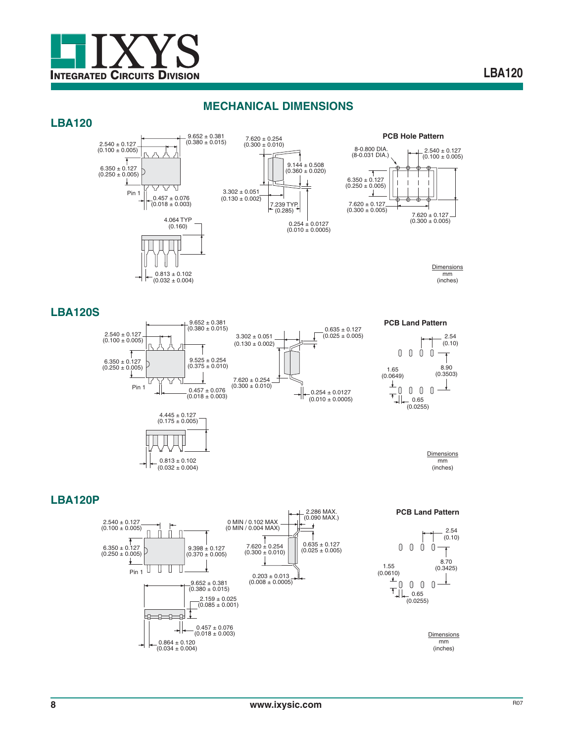

#### **MECHANICAL DIMENSIONS**

#### **LBA120**







**Dimensions** mm (inches)

#### **LBA120S**



**PCB Land Pattern**



**Dimensions** mm (inches)

#### **LBA120P**